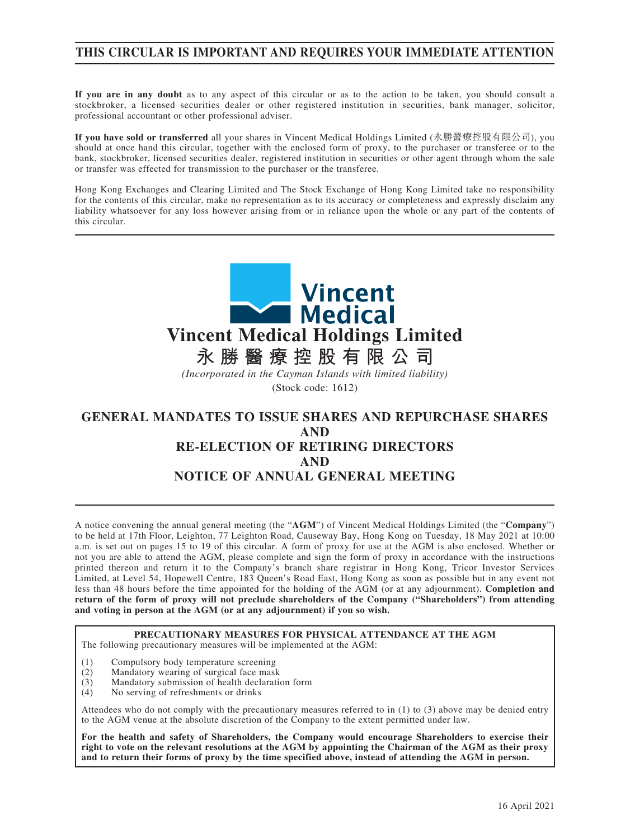# **THIS CIRCULAR IS IMPORTANT AND REQUIRES YOUR IMMEDIATE ATTENTION**

**If you are in any doubt** as to any aspect of this circular or as to the action to be taken, you should consult a stockbroker, a licensed securities dealer or other registered institution in securities, bank manager, solicitor, professional accountant or other professional adviser.

**If you have sold or transferred** all your shares in Vincent Medical Holdings Limited (永勝醫療控股有限公司), you should at once hand this circular, together with the enclosed form of proxy, to the purchaser or transferee or to the bank, stockbroker, licensed securities dealer, registered institution in securities or other agent through whom the sale or transfer was effected for transmission to the purchaser or the transferee.

Hong Kong Exchanges and Clearing Limited and The Stock Exchange of Hong Kong Limited take no responsibility for the contents of this circular, make no representation as to its accuracy or completeness and expressly disclaim any liability whatsoever for any loss however arising from or in reliance upon the whole or any part of the contents of this circular.



# **AND RE-ELECTION OF RETIRING DIRECTORS AND NOTICE OF ANNUAL GENERAL MEETING**

A notice convening the annual general meeting (the "**AGM**") of Vincent Medical Holdings Limited (the "**Company**") to be held at 17th Floor, Leighton, 77 Leighton Road, Causeway Bay, Hong Kong on Tuesday, 18 May 2021 at 10:00 a.m. is set out on pages 15 to 19 of this circular. A form of proxy for use at the AGM is also enclosed. Whether or not you are able to attend the AGM, please complete and sign the form of proxy in accordance with the instructions printed thereon and return it to the Company's branch share registrar in Hong Kong, Tricor Investor Services Limited, at Level 54, Hopewell Centre, 183 Queen's Road East, Hong Kong as soon as possible but in any event not less than 48 hours before the time appointed for the holding of the AGM (or at any adjournment). **Completion and return of the form of proxy will not preclude shareholders of the Company ("Shareholders") from attending and voting in person at the AGM (or at any adjournment) if you so wish.**

#### **PRECAUTIONARY MEASURES FOR PHYSICAL ATTENDANCE AT THE AGM** The following precautionary measures will be implemented at the AGM:

- 
- (1) Compulsory body temperature screening<br>(2) Mandatory wearing of surgical face mask Mandatory wearing of surgical face mask
- (3) Mandatory submission of health declaration form
- (4) No serving of refreshments or drinks

Attendees who do not comply with the precautionary measures referred to in (1) to (3) above may be denied entry to the AGM venue at the absolute discretion of the Company to the extent permitted under law.

**For the health and safety of Shareholders, the Company would encourage Shareholders to exercise their right to vote on the relevant resolutions at the AGM by appointing the Chairman of the AGM as their proxy and to return their forms of proxy by the time specified above, instead of attending the AGM in person.**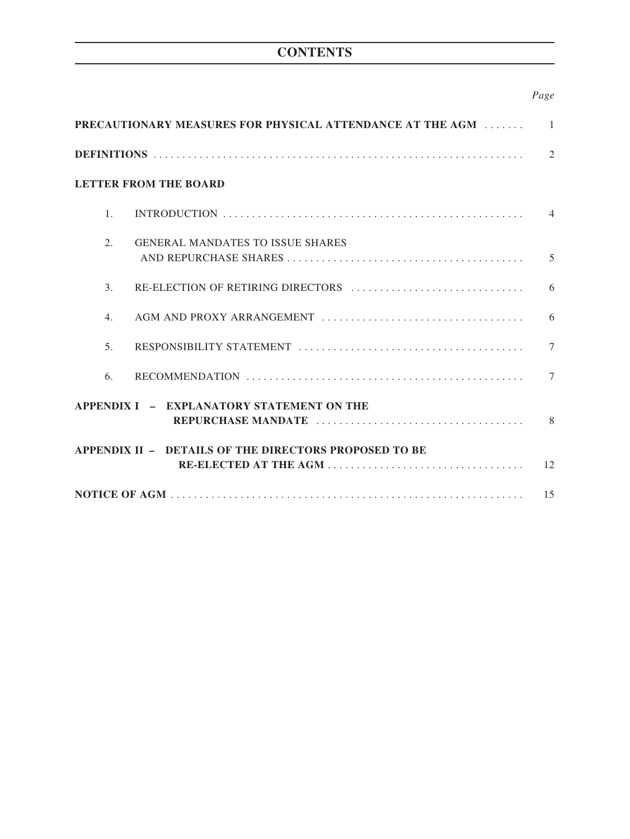# **CONTENTS**

# *Page*

| PRECAUTIONARY MEASURES FOR PHYSICAL ATTENDANCE AT THE AGM<br>$\overline{1}$ |                                         |               |  |
|-----------------------------------------------------------------------------|-----------------------------------------|---------------|--|
|                                                                             |                                         | $\mathcal{L}$ |  |
| <b>LETTER FROM THE BOARD</b>                                                |                                         |               |  |
| $\mathbf{1}$ .                                                              |                                         |               |  |
| 2.                                                                          | <b>GENERAL MANDATES TO ISSUE SHARES</b> | 5             |  |
| 3 <sub>1</sub>                                                              |                                         |               |  |
| $\overline{4}$ .                                                            |                                         | 6             |  |
| 5 <sub>1</sub>                                                              |                                         | $\tau$        |  |
| 6.                                                                          |                                         | 7             |  |
| APPENDIX I - EXPLANATORY STATEMENT ON THE<br>8 <sup>8</sup>                 |                                         |               |  |
| APPENDIX II - DETAILS OF THE DIRECTORS PROPOSED TO BE                       |                                         |               |  |
|                                                                             |                                         |               |  |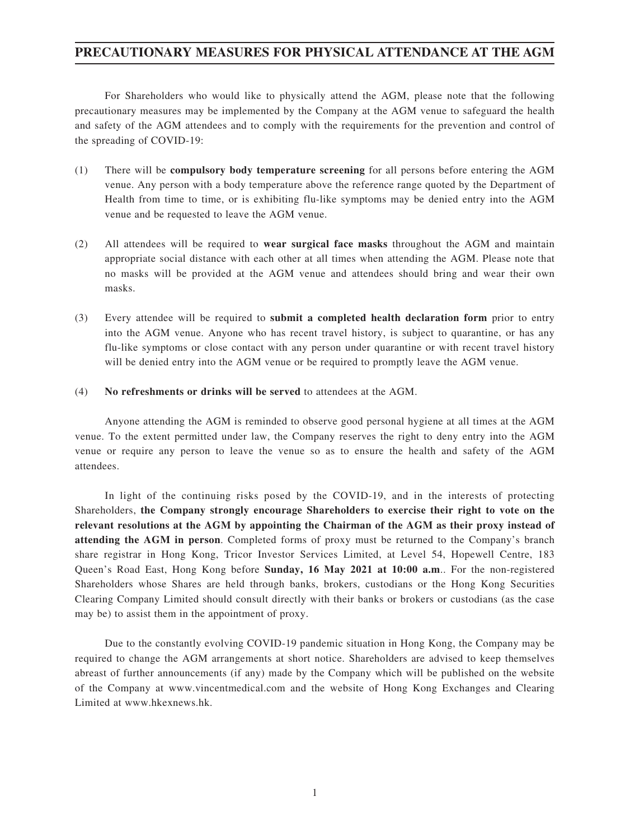# **PRECAUTIONARY MEASURES FOR PHYSICAL ATTENDANCE AT THE AGM**

For Shareholders who would like to physically attend the AGM, please note that the following precautionary measures may be implemented by the Company at the AGM venue to safeguard the health and safety of the AGM attendees and to comply with the requirements for the prevention and control of the spreading of COVID-19:

- (1) There will be **compulsory body temperature screening** for all persons before entering the AGM venue. Any person with a body temperature above the reference range quoted by the Department of Health from time to time, or is exhibiting flu-like symptoms may be denied entry into the AGM venue and be requested to leave the AGM venue.
- (2) All attendees will be required to **wear surgical face masks** throughout the AGM and maintain appropriate social distance with each other at all times when attending the AGM. Please note that no masks will be provided at the AGM venue and attendees should bring and wear their own masks.
- (3) Every attendee will be required to **submit a completed health declaration form** prior to entry into the AGM venue. Anyone who has recent travel history, is subject to quarantine, or has any flu-like symptoms or close contact with any person under quarantine or with recent travel history will be denied entry into the AGM venue or be required to promptly leave the AGM venue.
- (4) **No refreshments or drinks will be served** to attendees at the AGM.

Anyone attending the AGM is reminded to observe good personal hygiene at all times at the AGM venue. To the extent permitted under law, the Company reserves the right to deny entry into the AGM venue or require any person to leave the venue so as to ensure the health and safety of the AGM attendees.

In light of the continuing risks posed by the COVID-19, and in the interests of protecting Shareholders, **the Company strongly encourage Shareholders to exercise their right to vote on the relevant resolutions at the AGM by appointing the Chairman of the AGM as their proxy instead of attending the AGM in person**. Completed forms of proxy must be returned to the Company's branch share registrar in Hong Kong, Tricor Investor Services Limited, at Level 54, Hopewell Centre, 183 Queen's Road East, Hong Kong before **Sunday, 16 May 2021 at 10:00 a.m**.. For the non-registered Shareholders whose Shares are held through banks, brokers, custodians or the Hong Kong Securities Clearing Company Limited should consult directly with their banks or brokers or custodians (as the case may be) to assist them in the appointment of proxy.

Due to the constantly evolving COVID-19 pandemic situation in Hong Kong, the Company may be required to change the AGM arrangements at short notice. Shareholders are advised to keep themselves abreast of further announcements (if any) made by the Company which will be published on the website of the Company at www.vincentmedical.com and the website of Hong Kong Exchanges and Clearing Limited at www.hkexnews.hk.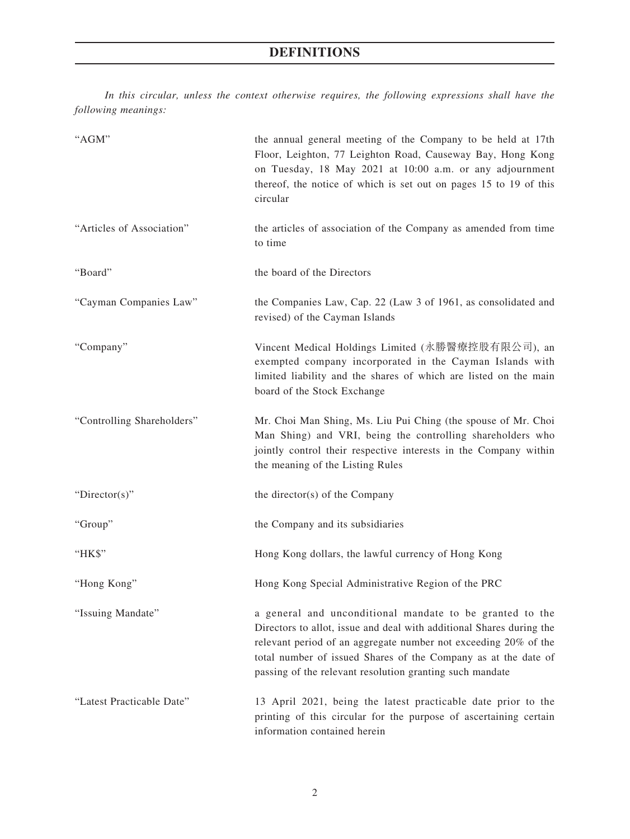*In this circular, unless the context otherwise requires, the following expressions shall have the following meanings:*

| "AGM"                      | the annual general meeting of the Company to be held at 17th<br>Floor, Leighton, 77 Leighton Road, Causeway Bay, Hong Kong<br>on Tuesday, 18 May 2021 at 10:00 a.m. or any adjournment<br>thereof, the notice of which is set out on pages 15 to 19 of this<br>circular                                                           |
|----------------------------|-----------------------------------------------------------------------------------------------------------------------------------------------------------------------------------------------------------------------------------------------------------------------------------------------------------------------------------|
| "Articles of Association"  | the articles of association of the Company as amended from time<br>to time                                                                                                                                                                                                                                                        |
| "Board"                    | the board of the Directors                                                                                                                                                                                                                                                                                                        |
| "Cayman Companies Law"     | the Companies Law, Cap. 22 (Law 3 of 1961, as consolidated and<br>revised) of the Cayman Islands                                                                                                                                                                                                                                  |
| "Company"                  | Vincent Medical Holdings Limited (永勝醫療控股有限公司), an<br>exempted company incorporated in the Cayman Islands with<br>limited liability and the shares of which are listed on the main<br>board of the Stock Exchange                                                                                                                  |
| "Controlling Shareholders" | Mr. Choi Man Shing, Ms. Liu Pui Ching (the spouse of Mr. Choi<br>Man Shing) and VRI, being the controlling shareholders who<br>jointly control their respective interests in the Company within<br>the meaning of the Listing Rules                                                                                               |
| " $Directory$ "            | the director(s) of the Company                                                                                                                                                                                                                                                                                                    |
| "Group"                    | the Company and its subsidiaries                                                                                                                                                                                                                                                                                                  |
| "НК\$"                     | Hong Kong dollars, the lawful currency of Hong Kong                                                                                                                                                                                                                                                                               |
| "Hong Kong"                | Hong Kong Special Administrative Region of the PRC                                                                                                                                                                                                                                                                                |
| "Issuing Mandate"          | a general and unconditional mandate to be granted to the<br>Directors to allot, issue and deal with additional Shares during the<br>relevant period of an aggregate number not exceeding 20% of the<br>total number of issued Shares of the Company as at the date of<br>passing of the relevant resolution granting such mandate |
| "Latest Practicable Date"  | 13 April 2021, being the latest practicable date prior to the<br>printing of this circular for the purpose of ascertaining certain<br>information contained herein                                                                                                                                                                |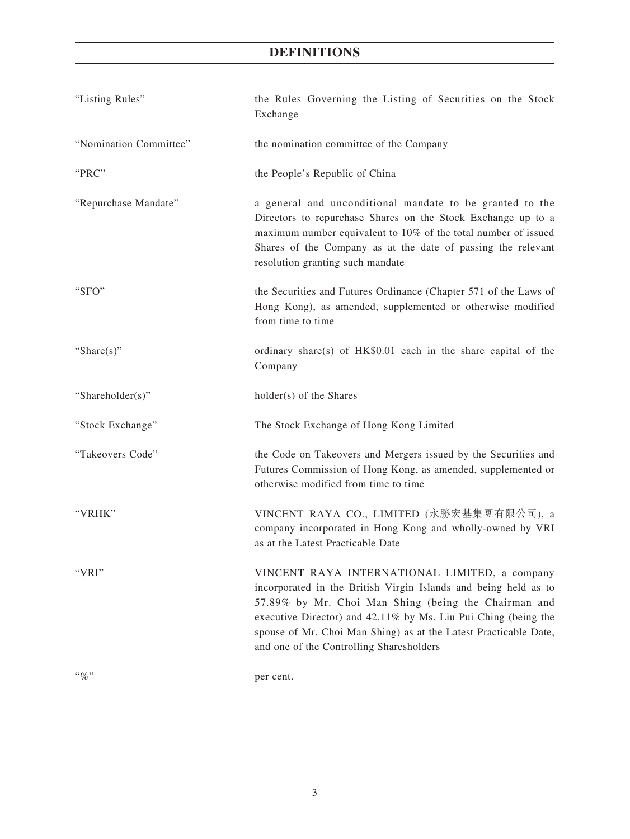# **DEFINITIONS**

| "Listing Rules"        | the Rules Governing the Listing of Securities on the Stock<br>Exchange                                                                                                                                                                                                                                                                                     |
|------------------------|------------------------------------------------------------------------------------------------------------------------------------------------------------------------------------------------------------------------------------------------------------------------------------------------------------------------------------------------------------|
| "Nomination Committee" | the nomination committee of the Company                                                                                                                                                                                                                                                                                                                    |
| "PRC"                  | the People's Republic of China                                                                                                                                                                                                                                                                                                                             |
| "Repurchase Mandate"   | a general and unconditional mandate to be granted to the<br>Directors to repurchase Shares on the Stock Exchange up to a<br>maximum number equivalent to 10% of the total number of issued<br>Shares of the Company as at the date of passing the relevant<br>resolution granting such mandate                                                             |
| "SFO"                  | the Securities and Futures Ordinance (Chapter 571 of the Laws of<br>Hong Kong), as amended, supplemented or otherwise modified<br>from time to time                                                                                                                                                                                                        |
| "Share $(s)$ "         | ordinary share(s) of HK\$0.01 each in the share capital of the<br>Company                                                                                                                                                                                                                                                                                  |
| "Shareholder(s)"       | holder(s) of the Shares                                                                                                                                                                                                                                                                                                                                    |
| "Stock Exchange"       | The Stock Exchange of Hong Kong Limited                                                                                                                                                                                                                                                                                                                    |
| "Takeovers Code"       | the Code on Takeovers and Mergers issued by the Securities and<br>Futures Commission of Hong Kong, as amended, supplemented or<br>otherwise modified from time to time                                                                                                                                                                                     |
| "VRHK"                 | VINCENT RAYA CO., LIMITED (永勝宏基集團有限公司), a<br>company incorporated in Hong Kong and wholly-owned by VRI<br>as at the Latest Practicable Date                                                                                                                                                                                                                |
| "VRI"                  | VINCENT RAYA INTERNATIONAL LIMITED, a company<br>incorporated in the British Virgin Islands and being held as to<br>57.89% by Mr. Choi Man Shing (being the Chairman and<br>executive Director) and 42.11% by Ms. Liu Pui Ching (being the<br>spouse of Mr. Choi Man Shing) as at the Latest Practicable Date,<br>and one of the Controlling Sharesholders |
| $``\%"$                | per cent.                                                                                                                                                                                                                                                                                                                                                  |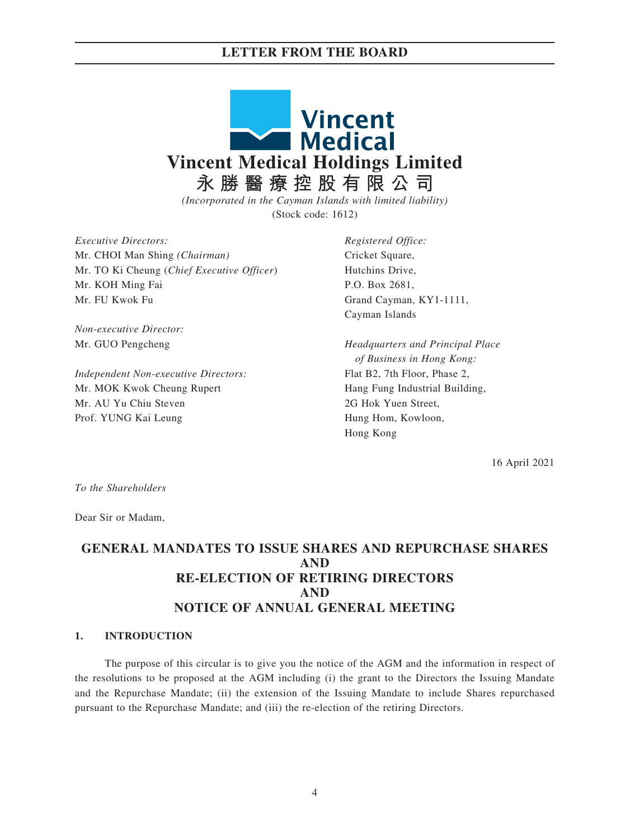## **LETTER FROM THE BOARD**



*(Incorporated in the Cayman Islands with limited liability)* (Stock code: 1612)

*Executive Directors:* Mr. CHOI Man Shing *(Chairman)* Mr. TO Ki Cheung (*Chief Executive Officer*) Mr. KOH Ming Fai Mr. FU Kwok Fu

*Non-executive Director:* Mr. GUO Pengcheng

*Independent Non-executive Directors:* Mr. MOK Kwok Cheung Rupert Mr. AU Yu Chiu Steven Prof. YUNG Kai Leung

*Registered Office:* Cricket Square, Hutchins Drive, P.O. Box 2681, Grand Cayman, KY1-1111, Cayman Islands

*Headquarters and Principal Place of Business in Hong Kong:* Flat B2, 7th Floor, Phase 2, Hang Fung Industrial Building, 2G Hok Yuen Street, Hung Hom, Kowloon, Hong Kong

16 April 2021

*To the Shareholders*

Dear Sir or Madam,

# **GENERAL MANDATES TO ISSUE SHARES AND REPURCHASE SHARES AND RE-ELECTION OF RETIRING DIRECTORS AND NOTICE OF ANNUAL GENERAL MEETING**

#### **1. INTRODUCTION**

The purpose of this circular is to give you the notice of the AGM and the information in respect of the resolutions to be proposed at the AGM including (i) the grant to the Directors the Issuing Mandate and the Repurchase Mandate; (ii) the extension of the Issuing Mandate to include Shares repurchased pursuant to the Repurchase Mandate; and (iii) the re-election of the retiring Directors.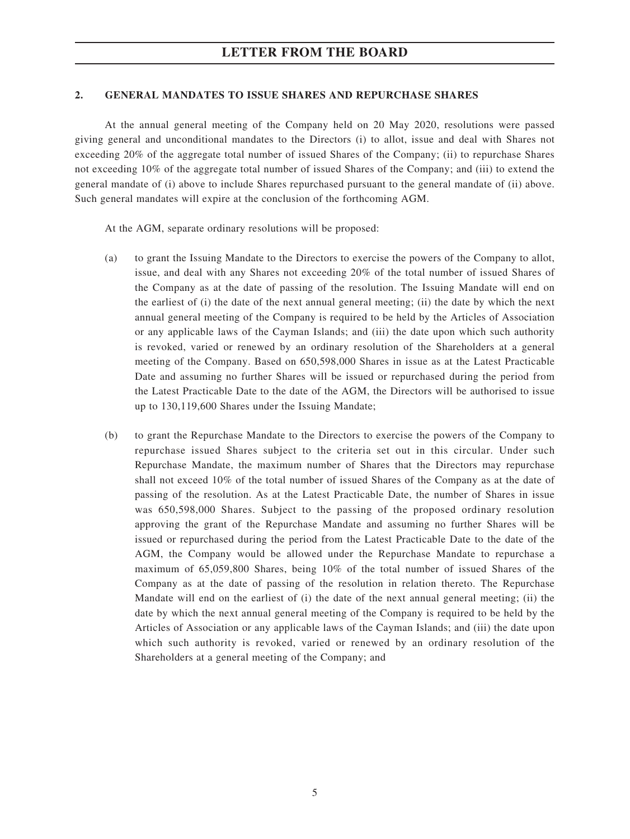### **2. GENERAL MANDATES TO ISSUE SHARES AND REPURCHASE SHARES**

At the annual general meeting of the Company held on 20 May 2020, resolutions were passed giving general and unconditional mandates to the Directors (i) to allot, issue and deal with Shares not exceeding 20% of the aggregate total number of issued Shares of the Company; (ii) to repurchase Shares not exceeding 10% of the aggregate total number of issued Shares of the Company; and (iii) to extend the general mandate of (i) above to include Shares repurchased pursuant to the general mandate of (ii) above. Such general mandates will expire at the conclusion of the forthcoming AGM.

At the AGM, separate ordinary resolutions will be proposed:

- (a) to grant the Issuing Mandate to the Directors to exercise the powers of the Company to allot, issue, and deal with any Shares not exceeding 20% of the total number of issued Shares of the Company as at the date of passing of the resolution. The Issuing Mandate will end on the earliest of (i) the date of the next annual general meeting; (ii) the date by which the next annual general meeting of the Company is required to be held by the Articles of Association or any applicable laws of the Cayman Islands; and (iii) the date upon which such authority is revoked, varied or renewed by an ordinary resolution of the Shareholders at a general meeting of the Company. Based on 650,598,000 Shares in issue as at the Latest Practicable Date and assuming no further Shares will be issued or repurchased during the period from the Latest Practicable Date to the date of the AGM, the Directors will be authorised to issue up to 130,119,600 Shares under the Issuing Mandate;
- (b) to grant the Repurchase Mandate to the Directors to exercise the powers of the Company to repurchase issued Shares subject to the criteria set out in this circular. Under such Repurchase Mandate, the maximum number of Shares that the Directors may repurchase shall not exceed 10% of the total number of issued Shares of the Company as at the date of passing of the resolution. As at the Latest Practicable Date, the number of Shares in issue was 650,598,000 Shares. Subject to the passing of the proposed ordinary resolution approving the grant of the Repurchase Mandate and assuming no further Shares will be issued or repurchased during the period from the Latest Practicable Date to the date of the AGM, the Company would be allowed under the Repurchase Mandate to repurchase a maximum of 65,059,800 Shares, being 10% of the total number of issued Shares of the Company as at the date of passing of the resolution in relation thereto. The Repurchase Mandate will end on the earliest of (i) the date of the next annual general meeting; (ii) the date by which the next annual general meeting of the Company is required to be held by the Articles of Association or any applicable laws of the Cayman Islands; and (iii) the date upon which such authority is revoked, varied or renewed by an ordinary resolution of the Shareholders at a general meeting of the Company; and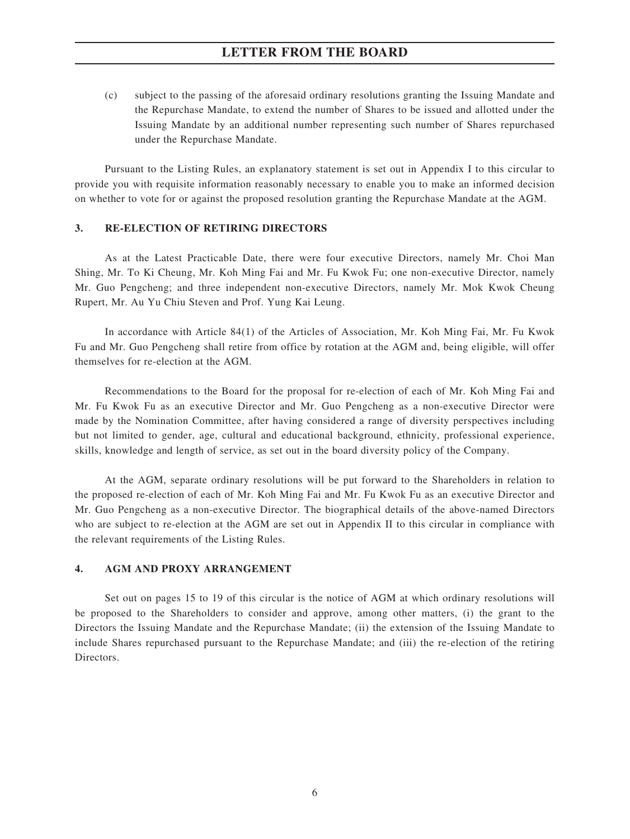# **LETTER FROM THE BOARD**

(c) subject to the passing of the aforesaid ordinary resolutions granting the Issuing Mandate and the Repurchase Mandate, to extend the number of Shares to be issued and allotted under the Issuing Mandate by an additional number representing such number of Shares repurchased under the Repurchase Mandate.

Pursuant to the Listing Rules, an explanatory statement is set out in Appendix I to this circular to provide you with requisite information reasonably necessary to enable you to make an informed decision on whether to vote for or against the proposed resolution granting the Repurchase Mandate at the AGM.

## **3. RE-ELECTION OF RETIRING DIRECTORS**

As at the Latest Practicable Date, there were four executive Directors, namely Mr. Choi Man Shing, Mr. To Ki Cheung, Mr. Koh Ming Fai and Mr. Fu Kwok Fu; one non-executive Director, namely Mr. Guo Pengcheng; and three independent non-executive Directors, namely Mr. Mok Kwok Cheung Rupert, Mr. Au Yu Chiu Steven and Prof. Yung Kai Leung.

In accordance with Article 84(1) of the Articles of Association, Mr. Koh Ming Fai, Mr. Fu Kwok Fu and Mr. Guo Pengcheng shall retire from office by rotation at the AGM and, being eligible, will offer themselves for re-election at the AGM.

Recommendations to the Board for the proposal for re-election of each of Mr. Koh Ming Fai and Mr. Fu Kwok Fu as an executive Director and Mr. Guo Pengcheng as a non-executive Director were made by the Nomination Committee, after having considered a range of diversity perspectives including but not limited to gender, age, cultural and educational background, ethnicity, professional experience, skills, knowledge and length of service, as set out in the board diversity policy of the Company.

At the AGM, separate ordinary resolutions will be put forward to the Shareholders in relation to the proposed re-election of each of Mr. Koh Ming Fai and Mr. Fu Kwok Fu as an executive Director and Mr. Guo Pengcheng as a non-executive Director. The biographical details of the above-named Directors who are subject to re-election at the AGM are set out in Appendix II to this circular in compliance with the relevant requirements of the Listing Rules.

### **4. AGM AND PROXY ARRANGEMENT**

Set out on pages 15 to 19 of this circular is the notice of AGM at which ordinary resolutions will be proposed to the Shareholders to consider and approve, among other matters, (i) the grant to the Directors the Issuing Mandate and the Repurchase Mandate; (ii) the extension of the Issuing Mandate to include Shares repurchased pursuant to the Repurchase Mandate; and (iii) the re-election of the retiring **Directors**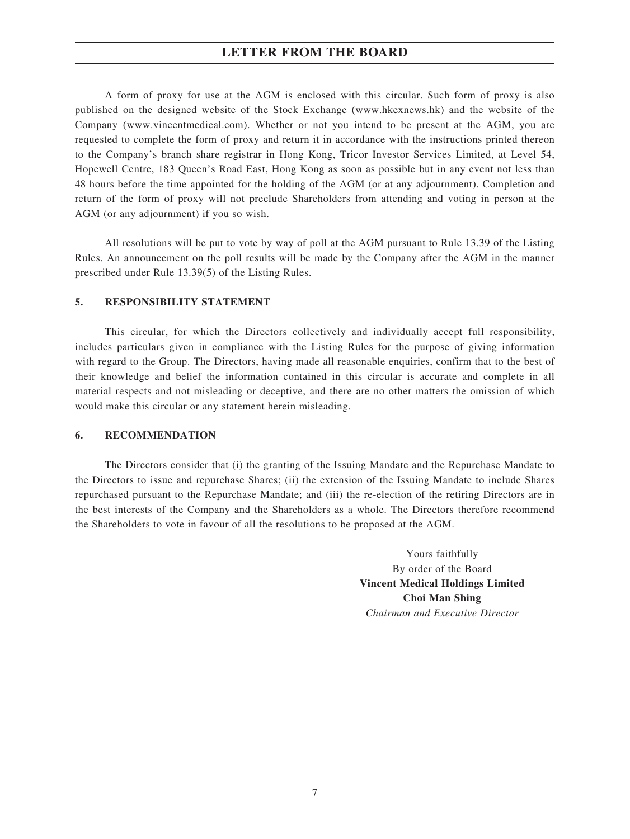# **LETTER FROM THE BOARD**

A form of proxy for use at the AGM is enclosed with this circular. Such form of proxy is also published on the designed website of the Stock Exchange (www.hkexnews.hk) and the website of the Company (www.vincentmedical.com). Whether or not you intend to be present at the AGM, you are requested to complete the form of proxy and return it in accordance with the instructions printed thereon to the Company's branch share registrar in Hong Kong, Tricor Investor Services Limited, at Level 54, Hopewell Centre, 183 Queen's Road East, Hong Kong as soon as possible but in any event not less than 48 hours before the time appointed for the holding of the AGM (or at any adjournment). Completion and return of the form of proxy will not preclude Shareholders from attending and voting in person at the AGM (or any adjournment) if you so wish.

All resolutions will be put to vote by way of poll at the AGM pursuant to Rule 13.39 of the Listing Rules. An announcement on the poll results will be made by the Company after the AGM in the manner prescribed under Rule 13.39(5) of the Listing Rules.

#### **5. RESPONSIBILITY STATEMENT**

This circular, for which the Directors collectively and individually accept full responsibility, includes particulars given in compliance with the Listing Rules for the purpose of giving information with regard to the Group. The Directors, having made all reasonable enquiries, confirm that to the best of their knowledge and belief the information contained in this circular is accurate and complete in all material respects and not misleading or deceptive, and there are no other matters the omission of which would make this circular or any statement herein misleading.

#### **6. RECOMMENDATION**

The Directors consider that (i) the granting of the Issuing Mandate and the Repurchase Mandate to the Directors to issue and repurchase Shares; (ii) the extension of the Issuing Mandate to include Shares repurchased pursuant to the Repurchase Mandate; and (iii) the re-election of the retiring Directors are in the best interests of the Company and the Shareholders as a whole. The Directors therefore recommend the Shareholders to vote in favour of all the resolutions to be proposed at the AGM.

> Yours faithfully By order of the Board **Vincent Medical Holdings Limited Choi Man Shing** *Chairman and Executive Director*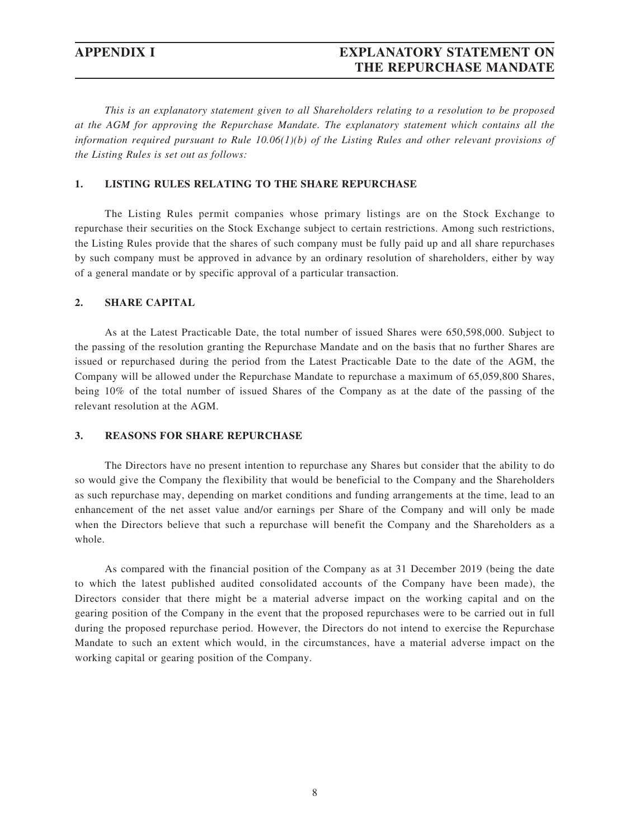# **APPENDIX I EXPLANATORY STATEMENT ON THE REPURCHASE MANDATE**

*This is an explanatory statement given to all Shareholders relating to a resolution to be proposed at the AGM for approving the Repurchase Mandate. The explanatory statement which contains all the information required pursuant to Rule 10.06(1)(b) of the Listing Rules and other relevant provisions of the Listing Rules is set out as follows:*

#### **1. LISTING RULES RELATING TO THE SHARE REPURCHASE**

The Listing Rules permit companies whose primary listings are on the Stock Exchange to repurchase their securities on the Stock Exchange subject to certain restrictions. Among such restrictions, the Listing Rules provide that the shares of such company must be fully paid up and all share repurchases by such company must be approved in advance by an ordinary resolution of shareholders, either by way of a general mandate or by specific approval of a particular transaction.

#### **2. SHARE CAPITAL**

As at the Latest Practicable Date, the total number of issued Shares were 650,598,000. Subject to the passing of the resolution granting the Repurchase Mandate and on the basis that no further Shares are issued or repurchased during the period from the Latest Practicable Date to the date of the AGM, the Company will be allowed under the Repurchase Mandate to repurchase a maximum of 65,059,800 Shares, being 10% of the total number of issued Shares of the Company as at the date of the passing of the relevant resolution at the AGM.

#### **3. REASONS FOR SHARE REPURCHASE**

The Directors have no present intention to repurchase any Shares but consider that the ability to do so would give the Company the flexibility that would be beneficial to the Company and the Shareholders as such repurchase may, depending on market conditions and funding arrangements at the time, lead to an enhancement of the net asset value and/or earnings per Share of the Company and will only be made when the Directors believe that such a repurchase will benefit the Company and the Shareholders as a whole.

As compared with the financial position of the Company as at 31 December 2019 (being the date to which the latest published audited consolidated accounts of the Company have been made), the Directors consider that there might be a material adverse impact on the working capital and on the gearing position of the Company in the event that the proposed repurchases were to be carried out in full during the proposed repurchase period. However, the Directors do not intend to exercise the Repurchase Mandate to such an extent which would, in the circumstances, have a material adverse impact on the working capital or gearing position of the Company.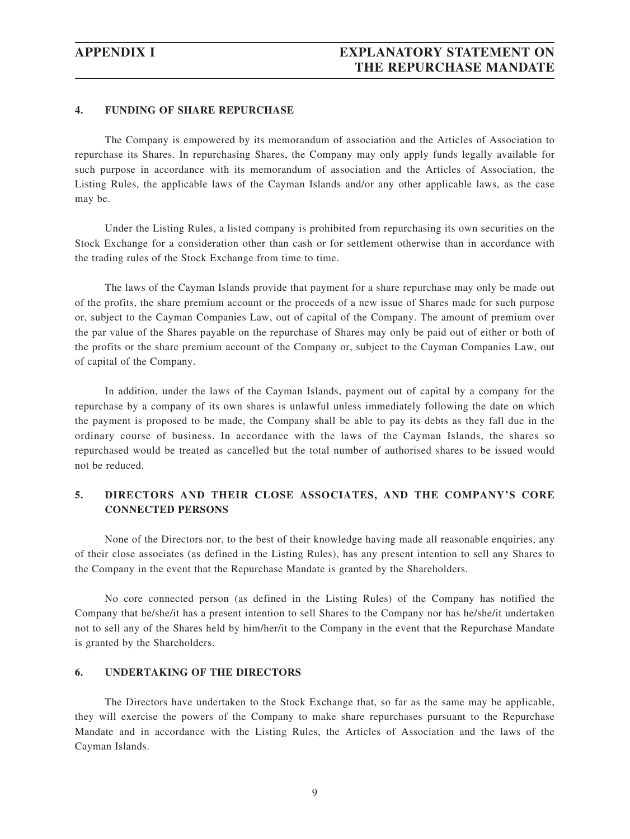### **4. FUNDING OF SHARE REPURCHASE**

The Company is empowered by its memorandum of association and the Articles of Association to repurchase its Shares. In repurchasing Shares, the Company may only apply funds legally available for such purpose in accordance with its memorandum of association and the Articles of Association, the Listing Rules, the applicable laws of the Cayman Islands and/or any other applicable laws, as the case may be.

Under the Listing Rules, a listed company is prohibited from repurchasing its own securities on the Stock Exchange for a consideration other than cash or for settlement otherwise than in accordance with the trading rules of the Stock Exchange from time to time.

The laws of the Cayman Islands provide that payment for a share repurchase may only be made out of the profits, the share premium account or the proceeds of a new issue of Shares made for such purpose or, subject to the Cayman Companies Law, out of capital of the Company. The amount of premium over the par value of the Shares payable on the repurchase of Shares may only be paid out of either or both of the profits or the share premium account of the Company or, subject to the Cayman Companies Law, out of capital of the Company.

In addition, under the laws of the Cayman Islands, payment out of capital by a company for the repurchase by a company of its own shares is unlawful unless immediately following the date on which the payment is proposed to be made, the Company shall be able to pay its debts as they fall due in the ordinary course of business. In accordance with the laws of the Cayman Islands, the shares so repurchased would be treated as cancelled but the total number of authorised shares to be issued would not be reduced.

## **5. DIRECTORS AND THEIR CLOSE ASSOCIATES, AND THE COMPANY'S CORE CONNECTED PERSONS**

None of the Directors nor, to the best of their knowledge having made all reasonable enquiries, any of their close associates (as defined in the Listing Rules), has any present intention to sell any Shares to the Company in the event that the Repurchase Mandate is granted by the Shareholders.

No core connected person (as defined in the Listing Rules) of the Company has notified the Company that he/she/it has a present intention to sell Shares to the Company nor has he/she/it undertaken not to sell any of the Shares held by him/her/it to the Company in the event that the Repurchase Mandate is granted by the Shareholders.

## **6. UNDERTAKING OF THE DIRECTORS**

The Directors have undertaken to the Stock Exchange that, so far as the same may be applicable, they will exercise the powers of the Company to make share repurchases pursuant to the Repurchase Mandate and in accordance with the Listing Rules, the Articles of Association and the laws of the Cayman Islands.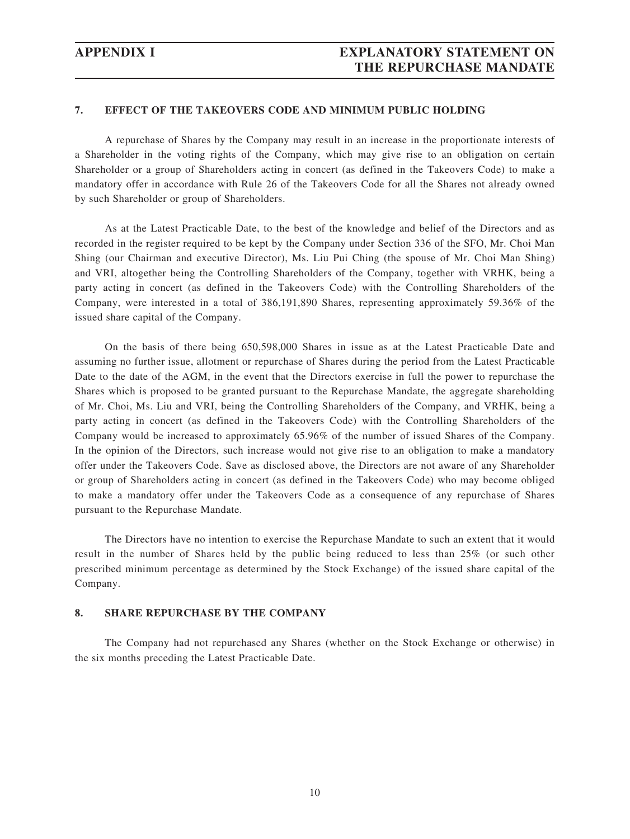### **7. EFFECT OF THE TAKEOVERS CODE AND MINIMUM PUBLIC HOLDING**

A repurchase of Shares by the Company may result in an increase in the proportionate interests of a Shareholder in the voting rights of the Company, which may give rise to an obligation on certain Shareholder or a group of Shareholders acting in concert (as defined in the Takeovers Code) to make a mandatory offer in accordance with Rule 26 of the Takeovers Code for all the Shares not already owned by such Shareholder or group of Shareholders.

As at the Latest Practicable Date, to the best of the knowledge and belief of the Directors and as recorded in the register required to be kept by the Company under Section 336 of the SFO, Mr. Choi Man Shing (our Chairman and executive Director), Ms. Liu Pui Ching (the spouse of Mr. Choi Man Shing) and VRI, altogether being the Controlling Shareholders of the Company, together with VRHK, being a party acting in concert (as defined in the Takeovers Code) with the Controlling Shareholders of the Company, were interested in a total of 386,191,890 Shares, representing approximately 59.36% of the issued share capital of the Company.

On the basis of there being 650,598,000 Shares in issue as at the Latest Practicable Date and assuming no further issue, allotment or repurchase of Shares during the period from the Latest Practicable Date to the date of the AGM, in the event that the Directors exercise in full the power to repurchase the Shares which is proposed to be granted pursuant to the Repurchase Mandate, the aggregate shareholding of Mr. Choi, Ms. Liu and VRI, being the Controlling Shareholders of the Company, and VRHK, being a party acting in concert (as defined in the Takeovers Code) with the Controlling Shareholders of the Company would be increased to approximately 65.96% of the number of issued Shares of the Company. In the opinion of the Directors, such increase would not give rise to an obligation to make a mandatory offer under the Takeovers Code. Save as disclosed above, the Directors are not aware of any Shareholder or group of Shareholders acting in concert (as defined in the Takeovers Code) who may become obliged to make a mandatory offer under the Takeovers Code as a consequence of any repurchase of Shares pursuant to the Repurchase Mandate.

The Directors have no intention to exercise the Repurchase Mandate to such an extent that it would result in the number of Shares held by the public being reduced to less than 25% (or such other prescribed minimum percentage as determined by the Stock Exchange) of the issued share capital of the Company.

#### **8. SHARE REPURCHASE BY THE COMPANY**

The Company had not repurchased any Shares (whether on the Stock Exchange or otherwise) in the six months preceding the Latest Practicable Date.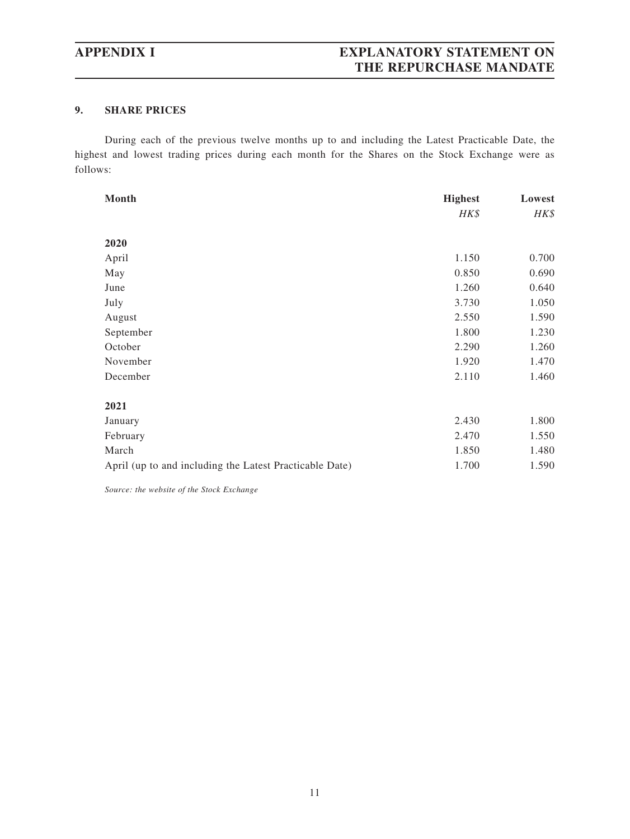# **APPENDIX I EXPLANATORY STATEMENT ON THE REPURCHASE MANDATE**

## **9. SHARE PRICES**

During each of the previous twelve months up to and including the Latest Practicable Date, the highest and lowest trading prices during each month for the Shares on the Stock Exchange were as follows:

| Month                                                   | <b>Highest</b> | Lowest |  |
|---------------------------------------------------------|----------------|--------|--|
|                                                         | HK\$           | HK\$   |  |
|                                                         |                |        |  |
| 2020                                                    |                |        |  |
| April                                                   | 1.150          | 0.700  |  |
| May                                                     | 0.850          | 0.690  |  |
| June                                                    | 1.260          | 0.640  |  |
| July                                                    | 3.730          | 1.050  |  |
| August                                                  | 2.550          | 1.590  |  |
| September                                               | 1.800          | 1.230  |  |
| October                                                 | 2.290          | 1.260  |  |
| November                                                | 1.920          | 1.470  |  |
| December                                                | 2.110          | 1.460  |  |
| 2021                                                    |                |        |  |
| January                                                 | 2.430          | 1.800  |  |
| February                                                | 2.470          | 1.550  |  |
| March                                                   | 1.850          | 1.480  |  |
| April (up to and including the Latest Practicable Date) | 1.700          | 1.590  |  |

*Source: the website of the Stock Exchange*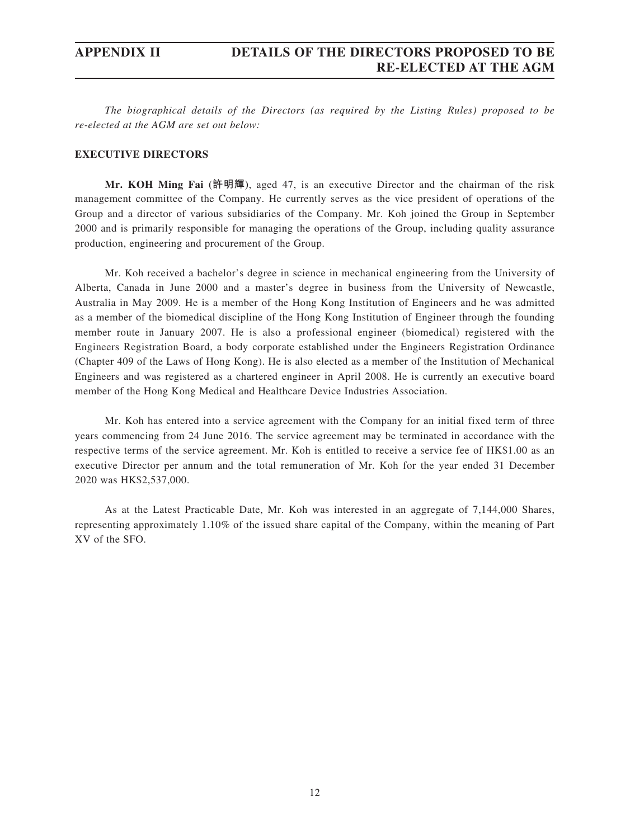*The biographical details of the Directors (as required by the Listing Rules) proposed to be re-elected at the AGM are set out below:*

### **EXECUTIVE DIRECTORS**

**Mr. KOH Ming Fai (許明輝)**, aged 47, is an executive Director and the chairman of the risk management committee of the Company. He currently serves as the vice president of operations of the Group and a director of various subsidiaries of the Company. Mr. Koh joined the Group in September 2000 and is primarily responsible for managing the operations of the Group, including quality assurance production, engineering and procurement of the Group.

Mr. Koh received a bachelor's degree in science in mechanical engineering from the University of Alberta, Canada in June 2000 and a master's degree in business from the University of Newcastle, Australia in May 2009. He is a member of the Hong Kong Institution of Engineers and he was admitted as a member of the biomedical discipline of the Hong Kong Institution of Engineer through the founding member route in January 2007. He is also a professional engineer (biomedical) registered with the Engineers Registration Board, a body corporate established under the Engineers Registration Ordinance (Chapter 409 of the Laws of Hong Kong). He is also elected as a member of the Institution of Mechanical Engineers and was registered as a chartered engineer in April 2008. He is currently an executive board member of the Hong Kong Medical and Healthcare Device Industries Association.

Mr. Koh has entered into a service agreement with the Company for an initial fixed term of three years commencing from 24 June 2016. The service agreement may be terminated in accordance with the respective terms of the service agreement. Mr. Koh is entitled to receive a service fee of HK\$1.00 as an executive Director per annum and the total remuneration of Mr. Koh for the year ended 31 December 2020 was HK\$2,537,000.

As at the Latest Practicable Date, Mr. Koh was interested in an aggregate of 7,144,000 Shares, representing approximately 1.10% of the issued share capital of the Company, within the meaning of Part XV of the SFO.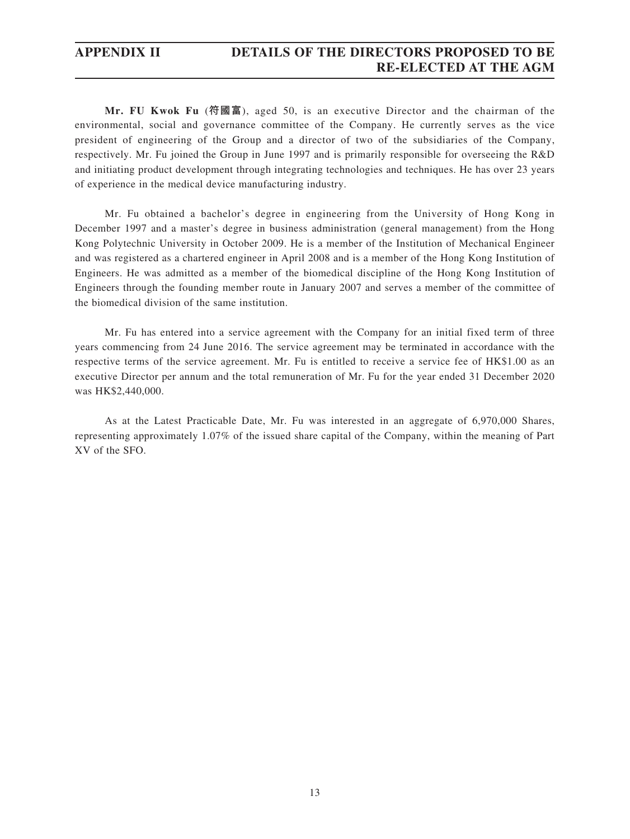**Mr. FU Kwok Fu** (**符國富**), aged 50, is an executive Director and the chairman of the environmental, social and governance committee of the Company. He currently serves as the vice president of engineering of the Group and a director of two of the subsidiaries of the Company, respectively. Mr. Fu joined the Group in June 1997 and is primarily responsible for overseeing the R&D and initiating product development through integrating technologies and techniques. He has over 23 years of experience in the medical device manufacturing industry.

Mr. Fu obtained a bachelor's degree in engineering from the University of Hong Kong in December 1997 and a master's degree in business administration (general management) from the Hong Kong Polytechnic University in October 2009. He is a member of the Institution of Mechanical Engineer and was registered as a chartered engineer in April 2008 and is a member of the Hong Kong Institution of Engineers. He was admitted as a member of the biomedical discipline of the Hong Kong Institution of Engineers through the founding member route in January 2007 and serves a member of the committee of the biomedical division of the same institution.

Mr. Fu has entered into a service agreement with the Company for an initial fixed term of three years commencing from 24 June 2016. The service agreement may be terminated in accordance with the respective terms of the service agreement. Mr. Fu is entitled to receive a service fee of HK\$1.00 as an executive Director per annum and the total remuneration of Mr. Fu for the year ended 31 December 2020 was HK\$2,440,000.

As at the Latest Practicable Date, Mr. Fu was interested in an aggregate of 6,970,000 Shares, representing approximately 1.07% of the issued share capital of the Company, within the meaning of Part XV of the SFO.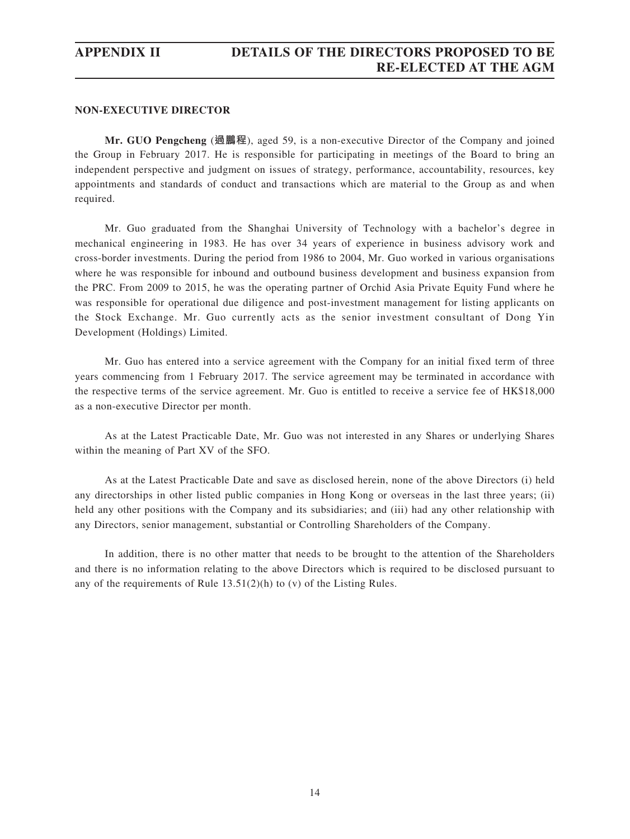#### **NON-EXECUTIVE DIRECTOR**

**Mr. GUO Pengcheng** (**過鵬程**), aged 59, is a non-executive Director of the Company and joined the Group in February 2017. He is responsible for participating in meetings of the Board to bring an independent perspective and judgment on issues of strategy, performance, accountability, resources, key appointments and standards of conduct and transactions which are material to the Group as and when required.

Mr. Guo graduated from the Shanghai University of Technology with a bachelor's degree in mechanical engineering in 1983. He has over 34 years of experience in business advisory work and cross-border investments. During the period from 1986 to 2004, Mr. Guo worked in various organisations where he was responsible for inbound and outbound business development and business expansion from the PRC. From 2009 to 2015, he was the operating partner of Orchid Asia Private Equity Fund where he was responsible for operational due diligence and post-investment management for listing applicants on the Stock Exchange. Mr. Guo currently acts as the senior investment consultant of Dong Yin Development (Holdings) Limited.

Mr. Guo has entered into a service agreement with the Company for an initial fixed term of three years commencing from 1 February 2017. The service agreement may be terminated in accordance with the respective terms of the service agreement. Mr. Guo is entitled to receive a service fee of HK\$18,000 as a non-executive Director per month.

As at the Latest Practicable Date, Mr. Guo was not interested in any Shares or underlying Shares within the meaning of Part XV of the SFO.

As at the Latest Practicable Date and save as disclosed herein, none of the above Directors (i) held any directorships in other listed public companies in Hong Kong or overseas in the last three years; (ii) held any other positions with the Company and its subsidiaries; and (iii) had any other relationship with any Directors, senior management, substantial or Controlling Shareholders of the Company.

In addition, there is no other matter that needs to be brought to the attention of the Shareholders and there is no information relating to the above Directors which is required to be disclosed pursuant to any of the requirements of Rule 13.51(2)(h) to (v) of the Listing Rules.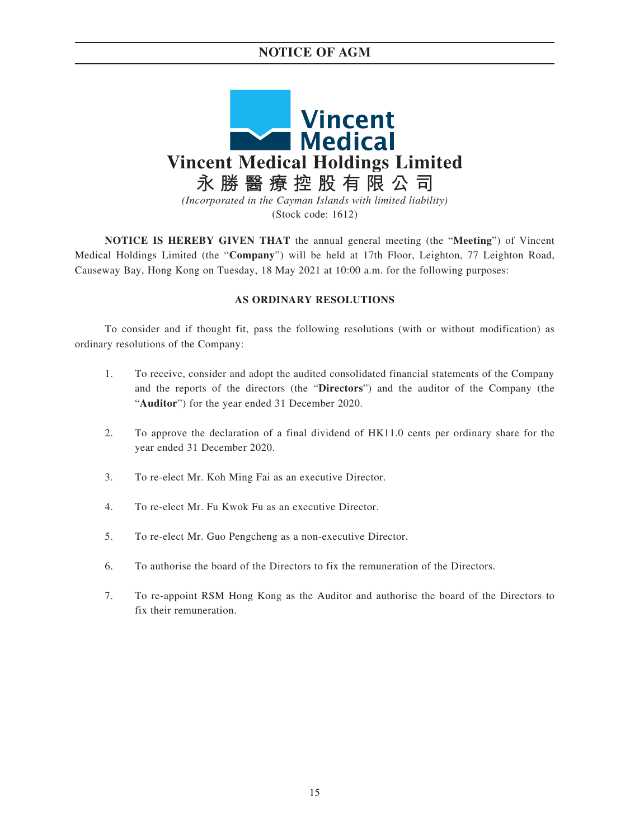# **NOTICE OF AGM**



**NOTICE IS HEREBY GIVEN THAT** the annual general meeting (the "**Meeting**") of Vincent Medical Holdings Limited (the "**Company**") will be held at 17th Floor, Leighton, 77 Leighton Road, Causeway Bay, Hong Kong on Tuesday, 18 May 2021 at 10:00 a.m. for the following purposes:

### **AS ORDINARY RESOLUTIONS**

To consider and if thought fit, pass the following resolutions (with or without modification) as ordinary resolutions of the Company:

- 1. To receive, consider and adopt the audited consolidated financial statements of the Company and the reports of the directors (the "**Directors**") and the auditor of the Company (the "**Auditor**") for the year ended 31 December 2020.
- 2. To approve the declaration of a final dividend of HK11.0 cents per ordinary share for the year ended 31 December 2020.
- 3. To re-elect Mr. Koh Ming Fai as an executive Director.
- 4. To re-elect Mr. Fu Kwok Fu as an executive Director.
- 5. To re-elect Mr. Guo Pengcheng as a non-executive Director.
- 6. To authorise the board of the Directors to fix the remuneration of the Directors.
- 7. To re-appoint RSM Hong Kong as the Auditor and authorise the board of the Directors to fix their remuneration.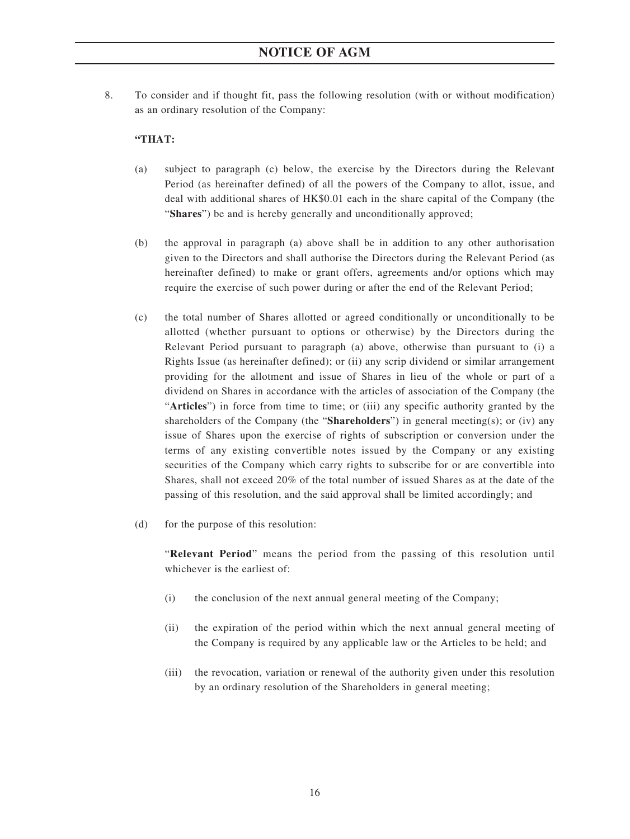8. To consider and if thought fit, pass the following resolution (with or without modification) as an ordinary resolution of the Company:

## **"THAT:**

- (a) subject to paragraph (c) below, the exercise by the Directors during the Relevant Period (as hereinafter defined) of all the powers of the Company to allot, issue, and deal with additional shares of HK\$0.01 each in the share capital of the Company (the "**Shares**") be and is hereby generally and unconditionally approved;
- (b) the approval in paragraph (a) above shall be in addition to any other authorisation given to the Directors and shall authorise the Directors during the Relevant Period (as hereinafter defined) to make or grant offers, agreements and/or options which may require the exercise of such power during or after the end of the Relevant Period;
- (c) the total number of Shares allotted or agreed conditionally or unconditionally to be allotted (whether pursuant to options or otherwise) by the Directors during the Relevant Period pursuant to paragraph (a) above, otherwise than pursuant to (i) a Rights Issue (as hereinafter defined); or (ii) any scrip dividend or similar arrangement providing for the allotment and issue of Shares in lieu of the whole or part of a dividend on Shares in accordance with the articles of association of the Company (the "**Articles**") in force from time to time; or (iii) any specific authority granted by the shareholders of the Company (the "**Shareholders**") in general meeting(s); or (iv) any issue of Shares upon the exercise of rights of subscription or conversion under the terms of any existing convertible notes issued by the Company or any existing securities of the Company which carry rights to subscribe for or are convertible into Shares, shall not exceed 20% of the total number of issued Shares as at the date of the passing of this resolution, and the said approval shall be limited accordingly; and
- (d) for the purpose of this resolution:

"**Relevant Period**" means the period from the passing of this resolution until whichever is the earliest of:

- (i) the conclusion of the next annual general meeting of the Company;
- (ii) the expiration of the period within which the next annual general meeting of the Company is required by any applicable law or the Articles to be held; and
- (iii) the revocation, variation or renewal of the authority given under this resolution by an ordinary resolution of the Shareholders in general meeting;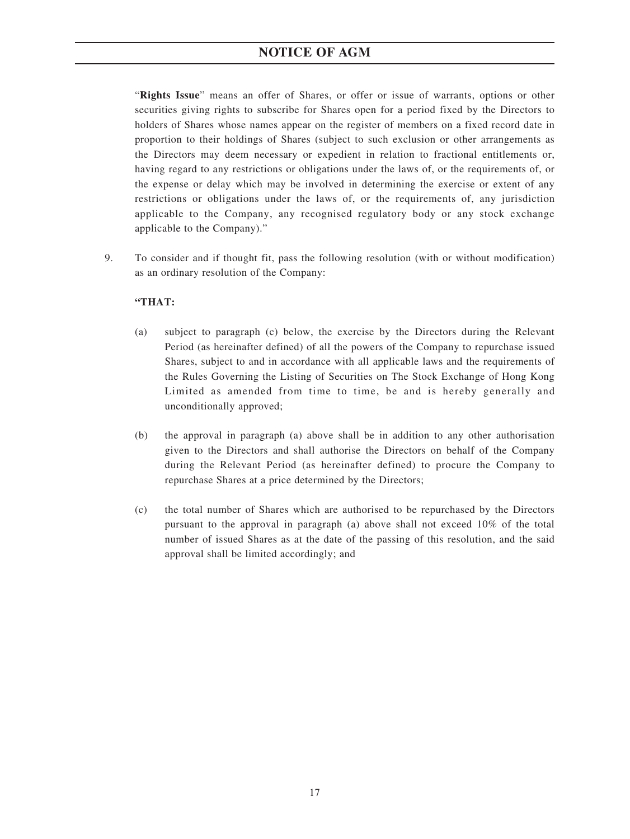# **NOTICE OF AGM**

"**Rights Issue**" means an offer of Shares, or offer or issue of warrants, options or other securities giving rights to subscribe for Shares open for a period fixed by the Directors to holders of Shares whose names appear on the register of members on a fixed record date in proportion to their holdings of Shares (subject to such exclusion or other arrangements as the Directors may deem necessary or expedient in relation to fractional entitlements or, having regard to any restrictions or obligations under the laws of, or the requirements of, or the expense or delay which may be involved in determining the exercise or extent of any restrictions or obligations under the laws of, or the requirements of, any jurisdiction applicable to the Company, any recognised regulatory body or any stock exchange applicable to the Company)."

9. To consider and if thought fit, pass the following resolution (with or without modification) as an ordinary resolution of the Company:

## **"THAT:**

- (a) subject to paragraph (c) below, the exercise by the Directors during the Relevant Period (as hereinafter defined) of all the powers of the Company to repurchase issued Shares, subject to and in accordance with all applicable laws and the requirements of the Rules Governing the Listing of Securities on The Stock Exchange of Hong Kong Limited as amended from time to time, be and is hereby generally and unconditionally approved;
- (b) the approval in paragraph (a) above shall be in addition to any other authorisation given to the Directors and shall authorise the Directors on behalf of the Company during the Relevant Period (as hereinafter defined) to procure the Company to repurchase Shares at a price determined by the Directors;
- (c) the total number of Shares which are authorised to be repurchased by the Directors pursuant to the approval in paragraph (a) above shall not exceed 10% of the total number of issued Shares as at the date of the passing of this resolution, and the said approval shall be limited accordingly; and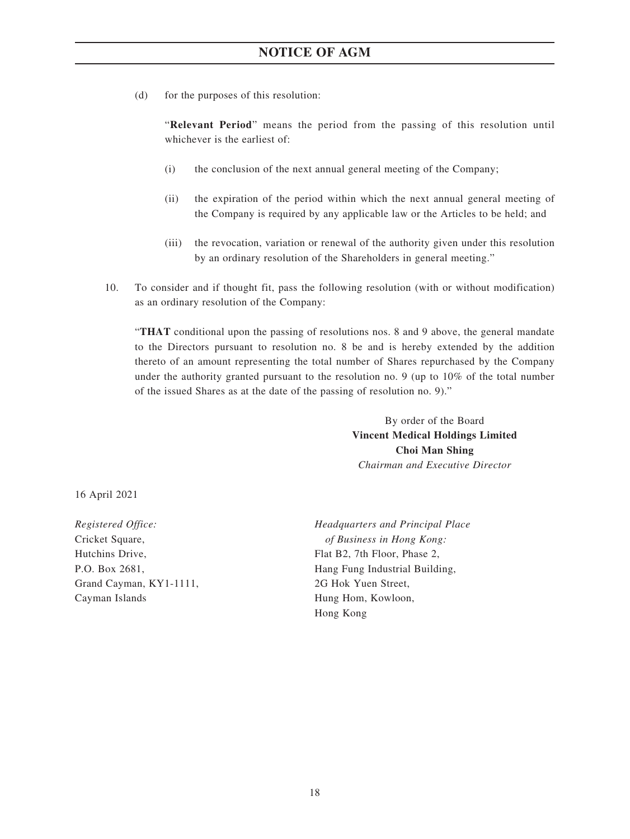(d) for the purposes of this resolution:

"**Relevant Period**" means the period from the passing of this resolution until whichever is the earliest of:

- (i) the conclusion of the next annual general meeting of the Company;
- (ii) the expiration of the period within which the next annual general meeting of the Company is required by any applicable law or the Articles to be held; and
- (iii) the revocation, variation or renewal of the authority given under this resolution by an ordinary resolution of the Shareholders in general meeting."
- 10. To consider and if thought fit, pass the following resolution (with or without modification) as an ordinary resolution of the Company:

"**THAT** conditional upon the passing of resolutions nos. 8 and 9 above, the general mandate to the Directors pursuant to resolution no. 8 be and is hereby extended by the addition thereto of an amount representing the total number of Shares repurchased by the Company under the authority granted pursuant to the resolution no. 9 (up to 10% of the total number of the issued Shares as at the date of the passing of resolution no. 9)."

> By order of the Board **Vincent Medical Holdings Limited Choi Man Shing** *Chairman and Executive Director*

16 April 2021

*Registered Office:* Cricket Square, Hutchins Drive, P.O. Box 2681, Grand Cayman, KY1-1111, Cayman Islands

*Headquarters and Principal Place of Business in Hong Kong:* Flat B2, 7th Floor, Phase 2, Hang Fung Industrial Building, 2G Hok Yuen Street, Hung Hom, Kowloon, Hong Kong